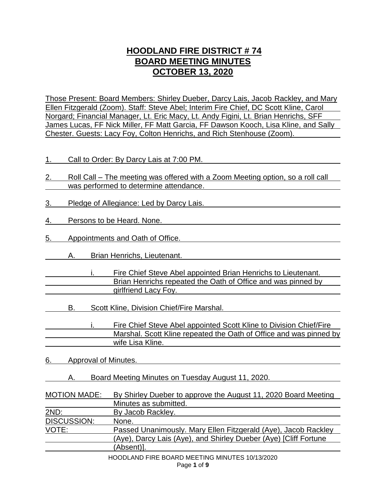# **HOODLAND FIRE DISTRICT # 74 BOARD MEETING MINUTES OCTOBER 13, 2020**

Those Present: Board Members: Shirley Dueber, Darcy Lais, Jacob Rackley, and Mary Ellen Fitzgerald (Zoom). Staff: Steve Abel; Interim Fire Chief, DC Scott Kline, Carol Norgard; Financial Manager, Lt. Eric Macy, Lt. Andy Figini, Lt. Brian Henrichs, SFF James Lucas, FF Nick Miller, FF Matt Garcia, FF Dawson Kooch, Lisa Kline, and Sally Chester. Guests: Lacy Foy, Colton Henrichs, and Rich Stenhouse (Zoom).

- 1. Call to Order: By Darcy Lais at 7:00 PM.
- 2. Roll Call The meeting was offered with a Zoom Meeting option, so a roll call was performed to determine attendance.
- 3. Pledge of Allegiance: Led by Darcy Lais.
- 4. Persons to be Heard. None.
- 5. Appointments and Oath of Office.
	- A. Brian Henrichs, Lieutenant.
- i. Fire Chief Steve Abel appointed Brian Henrichs to Lieutenant. Brian Henrichs repeated the Oath of Office and was pinned by girlfriend Lacy Foy.
	- B. Scott Kline, Division Chief/Fire Marshal.
- i. Fire Chief Steve Abel appointed Scott Kline to Division Chief/Fire Marshal. Scott Kline repeated the Oath of Office and was pinned by wife Lisa Kline.
- 6. Approval of Minutes.
	- A. Board Meeting Minutes on Tuesday August 11, 2020.

| <b>MOTION MADE:</b> | By Shirley Dueber to approve the August 11, 2020 Board Meeting   |
|---------------------|------------------------------------------------------------------|
|                     | Minutes as submitted.                                            |
| 2ND:                | By Jacob Rackley.                                                |
| DISCUSSION:         | None.                                                            |
| VOTE:               | Passed Unanimously. Mary Ellen Fitzgerald (Aye), Jacob Rackley   |
|                     | (Aye), Darcy Lais (Aye), and Shirley Dueber (Aye) [Cliff Fortune |
|                     | (Absent)].                                                       |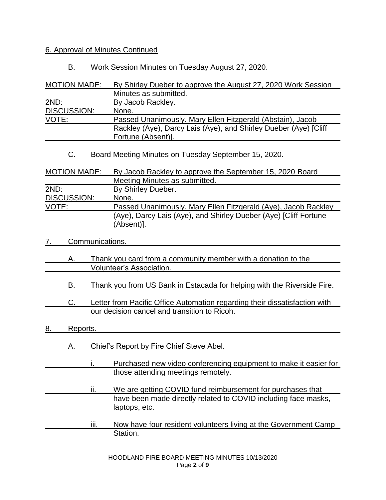# 6. Approval of Minutes Continued

| By Shirley Dueber to approve the August 27, 2020 Work Session                                                                |
|------------------------------------------------------------------------------------------------------------------------------|
|                                                                                                                              |
|                                                                                                                              |
| Passed Unanimously. Mary Ellen Fitzgerald (Abstain), Jacob                                                                   |
| Rackley (Aye), Darcy Lais (Aye), and Shirley Dueber (Aye) [Cliff                                                             |
|                                                                                                                              |
|                                                                                                                              |
| By Jacob Rackley to approve the September 15, 2020 Board                                                                     |
|                                                                                                                              |
|                                                                                                                              |
|                                                                                                                              |
| Passed Unanimously. Mary Ellen Fitzgerald (Aye), Jacob Rackley                                                               |
| (Aye), Darcy Lais (Aye), and Shirley Dueber (Aye) [Cliff Fortune                                                             |
|                                                                                                                              |
|                                                                                                                              |
|                                                                                                                              |
|                                                                                                                              |
| Thank you from US Bank in Estacada for helping with the Riverside Fire.                                                      |
| Letter from Pacific Office Automation regarding their dissatisfaction with                                                   |
|                                                                                                                              |
|                                                                                                                              |
|                                                                                                                              |
| Purchased new video conferencing equipment to make it easier for                                                             |
| We are getting COVID fund reimbursement for purchases that<br>have been made directly related to COVID including face masks, |
|                                                                                                                              |
| Now have four resident volunteers living at the Government Camp                                                              |
|                                                                                                                              |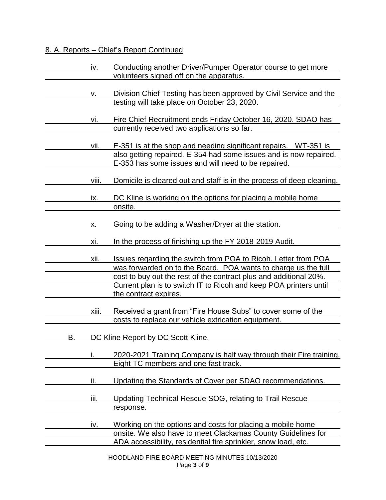# 8. A. Reports – Chief's Report Continued

|    | iv.   | Conducting another Driver/Pumper Operator course to get more<br>volunteers signed off on the apparatus.                                                                                                                                                                                             |
|----|-------|-----------------------------------------------------------------------------------------------------------------------------------------------------------------------------------------------------------------------------------------------------------------------------------------------------|
|    | ν.    | Division Chief Testing has been approved by Civil Service and the<br>testing will take place on October 23, 2020.                                                                                                                                                                                   |
|    | vi.   | Fire Chief Recruitment ends Friday October 16, 2020. SDAO has<br>currently received two applications so far.                                                                                                                                                                                        |
|    | vii.  | E-351 is at the shop and needing significant repairs. WT-351 is<br>also getting repaired. E-354 had some issues and is now repaired.<br>E-353 has some issues and will need to be repaired.                                                                                                         |
|    | viii. | Domicile is cleared out and staff is in the process of deep cleaning.                                                                                                                                                                                                                               |
|    | ix.   | DC Kline is working on the options for placing a mobile home<br>onsite.                                                                                                                                                                                                                             |
|    | х.    | Going to be adding a Washer/Dryer at the station.                                                                                                                                                                                                                                                   |
|    | xi.   | In the process of finishing up the FY 2018-2019 Audit.                                                                                                                                                                                                                                              |
|    | xii.  | Issues regarding the switch from POA to Ricoh. Letter from POA<br>was forwarded on to the Board. POA wants to charge us the full<br>cost to buy out the rest of the contract plus and additional 20%.<br>Current plan is to switch IT to Ricoh and keep POA printers until<br>the contract expires. |
|    | xiii. | Received a grant from "Fire House Subs" to cover some of the<br>costs to replace our vehicle extrication equipment.                                                                                                                                                                                 |
| В. |       | DC Kline Report by DC Scott Kline.                                                                                                                                                                                                                                                                  |
|    |       | 2020-2021 Training Company is half way through their Fire training.<br>Eight TC members and one fast track.                                                                                                                                                                                         |
|    | ii.   | Updating the Standards of Cover per SDAO recommendations.                                                                                                                                                                                                                                           |
|    | iii.  | Updating Technical Rescue SOG, relating to Trail Rescue<br>response.                                                                                                                                                                                                                                |
|    | iv.   | Working on the options and costs for placing a mobile home<br>onsite. We also have to meet Clackamas County Guidelines for<br>ADA accessibility, residential fire sprinkler, snow load, etc.                                                                                                        |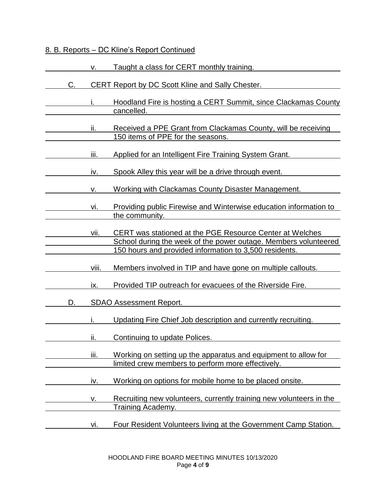#### 8. B. Reports – DC Kline's Report Continued

|    | v.    | Taught a class for CERT monthly training.                                                                                                                                             |
|----|-------|---------------------------------------------------------------------------------------------------------------------------------------------------------------------------------------|
| C. |       | <b>CERT Report by DC Scott Kline and Sally Chester.</b>                                                                                                                               |
|    |       | Hoodland Fire is hosting a CERT Summit, since Clackamas County<br>cancelled.                                                                                                          |
|    | ii.   | Received a PPE Grant from Clackamas County, will be receiving<br>150 items of PPE for the seasons.                                                                                    |
|    | iii.  | Applied for an Intelligent Fire Training System Grant.                                                                                                                                |
|    | IV.   | Spook Alley this year will be a drive through event.                                                                                                                                  |
|    | ν.    | Working with Clackamas County Disaster Management.                                                                                                                                    |
|    | vi.   | Providing public Firewise and Winterwise education information to<br>the community.                                                                                                   |
|    | vii.  | CERT was stationed at the PGE Resource Center at Welches<br>School during the week of the power outage. Members volunteered<br>150 hours and provided information to 3,500 residents. |
|    | viii. | Members involved in TIP and have gone on multiple callouts.                                                                                                                           |
|    | IX.   | Provided TIP outreach for evacuees of the Riverside Fire.                                                                                                                             |
| D. |       | <b>SDAO Assessment Report.</b>                                                                                                                                                        |
|    |       | Updating Fire Chief Job description and currently recruiting.                                                                                                                         |
|    | ii.   | Continuing to update Polices.                                                                                                                                                         |
|    | iii.  | Working on setting up the apparatus and equipment to allow for<br>limited crew members to perform more effectively.                                                                   |
|    | iv.   | Working on options for mobile home to be placed onsite.                                                                                                                               |
|    | ۷.    | Recruiting new volunteers, currently training new volunteers in the<br>Training Academy.                                                                                              |
|    | vi.   | Four Resident Volunteers living at the Government Camp Station.                                                                                                                       |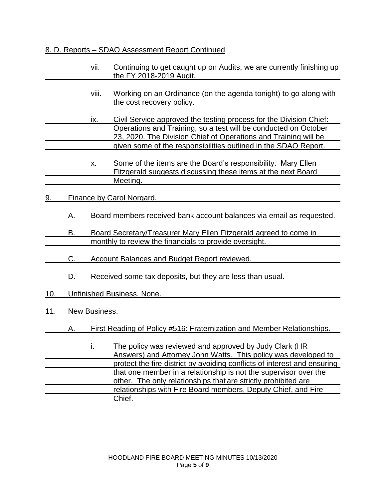# 8. D. Reports – SDAO Assessment Report Continued

|     |                            | vii.  | Continuing to get caught up on Audits, we are currently finishing up<br>the FY 2018-2019 Audit.                                                                                                                                                                                                                                                                                                                       |
|-----|----------------------------|-------|-----------------------------------------------------------------------------------------------------------------------------------------------------------------------------------------------------------------------------------------------------------------------------------------------------------------------------------------------------------------------------------------------------------------------|
|     |                            | viii. | Working on an Ordinance (on the agenda tonight) to go along with<br>the cost recovery policy.                                                                                                                                                                                                                                                                                                                         |
|     |                            | ix.   | Civil Service approved the testing process for the Division Chief:<br>Operations and Training, so a test will be conducted on October<br>23, 2020. The Division Chief of Operations and Training will be<br>given some of the responsibilities outlined in the SDAO Report.                                                                                                                                           |
|     |                            | х.    | Some of the items are the Board's responsibility. Mary Ellen<br>Fitzgerald suggests discussing these items at the next Board<br>Meeting.                                                                                                                                                                                                                                                                              |
| 9.  |                            |       | Finance by Carol Norgard.                                                                                                                                                                                                                                                                                                                                                                                             |
|     | Α.                         |       | Board members received bank account balances via email as requested.                                                                                                                                                                                                                                                                                                                                                  |
|     | В.                         |       | Board Secretary/Treasurer Mary Ellen Fitzgerald agreed to come in                                                                                                                                                                                                                                                                                                                                                     |
|     | C.                         |       | monthly to review the financials to provide oversight.<br><b>Account Balances and Budget Report reviewed.</b>                                                                                                                                                                                                                                                                                                         |
|     | D.                         |       | Received some tax deposits, but they are less than usual.                                                                                                                                                                                                                                                                                                                                                             |
| 10. | Unfinished Business. None. |       |                                                                                                                                                                                                                                                                                                                                                                                                                       |
| 11. | New Business.              |       |                                                                                                                                                                                                                                                                                                                                                                                                                       |
|     | А.                         |       | First Reading of Policy #516: Fraternization and Member Relationships.                                                                                                                                                                                                                                                                                                                                                |
|     |                            |       | The policy was reviewed and approved by Judy Clark (HR<br>Answers) and Attorney John Watts. This policy was developed to<br>protect the fire district by avoiding conflicts of interest and ensuring<br>that one member in a relationship is not the supervisor over the<br>other. The only relationships that are strictly prohibited are<br>relationships with Fire Board members, Deputy Chief, and Fire<br>Chief. |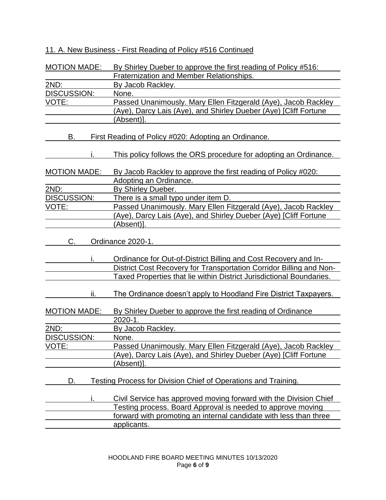# 11. A. New Business - First Reading of Policy #516 Continued

| <b>MOTION MADE:</b> | By Shirley Dueber to approve the first reading of Policy #516:        |
|---------------------|-----------------------------------------------------------------------|
|                     | Fraternization and Member Relationships.                              |
| 2ND:                | By Jacob Rackley.                                                     |
| <b>DISCUSSION:</b>  | None.                                                                 |
| VOTE:               | Passed Unanimously. Mary Ellen Fitzgerald (Aye), Jacob Rackley        |
|                     | (Aye), Darcy Lais (Aye), and Shirley Dueber (Aye) [Cliff Fortune      |
|                     | (Absent)].                                                            |
|                     |                                                                       |
| В.                  | <u>First Reading of Policy #020: Adopting an Ordinance.</u>           |
|                     |                                                                       |
| i.                  | This policy follows the ORS procedure for adopting an Ordinance.      |
|                     |                                                                       |
| <b>MOTION MADE:</b> | By Jacob Rackley to approve the first reading of Policy #020:         |
|                     | Adopting an Ordinance.                                                |
| 2ND:                | By Shirley Dueber.                                                    |
| <b>DISCUSSION:</b>  | There is a small typo under item D.                                   |
| VOTE:               | Passed Unanimously. Mary Ellen Fitzgerald (Aye), Jacob Rackley        |
|                     | (Aye), Darcy Lais (Aye), and Shirley Dueber (Aye) [Cliff Fortune      |
|                     | (Absent)].                                                            |
|                     |                                                                       |
| C.                  | Ordinance 2020-1.                                                     |
|                     |                                                                       |
| ı.                  | Ordinance for Out-of-District Billing and Cost Recovery and In-       |
|                     | District Cost Recovery for Transportation Corridor Billing and Non-   |
|                     | Taxed Properties that lie within District Jurisdictional Boundaries.  |
|                     |                                                                       |
| ii.                 | The Ordinance doesn't apply to Hoodland Fire District Taxpayers.      |
| <b>MOTION MADE:</b> | By Shirley Dueber to approve the first reading of Ordinance           |
|                     | $2020 - 1.$                                                           |
| 2ND:                | By Jacob Rackley.                                                     |
| <b>DISCUSSION:</b>  | None.                                                                 |
| VOTE:               | Passed Unanimously. Mary Ellen Fitzgerald (Aye), Jacob Rackley        |
|                     | (Aye), Darcy Lais (Aye), and Shirley Dueber (Aye) [Cliff Fortune      |
|                     | (Absent)].                                                            |
|                     |                                                                       |
| D.                  | <b>Testing Process for Division Chief of Operations and Training.</b> |
|                     |                                                                       |
| i.                  | Civil Service has approved moving forward with the Division Chief     |
|                     | Testing process. Board Approval is needed to approve moving           |
|                     | forward with promoting an internal candidate with less than three     |
|                     | applicants.                                                           |
|                     |                                                                       |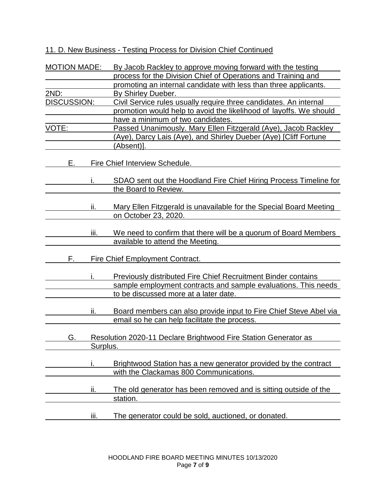11. D. New Business - Testing Process for Division Chief Continued

| <b>MOTION MADE:</b> |          | By Jacob Rackley to approve moving forward with the testing          |
|---------------------|----------|----------------------------------------------------------------------|
|                     |          | process for the Division Chief of Operations and Training and        |
|                     |          | promoting an internal candidate with less than three applicants.     |
| 2ND:                |          | By Shirley Dueber.                                                   |
| DISCUSSION:         |          | Civil Service rules usually require three candidates. An internal    |
|                     |          | promotion would help to avoid the likelihood of layoffs. We should   |
|                     |          | have a minimum of two candidates.                                    |
| VOTE:               |          | Passed Unanimously. Mary Ellen Fitzgerald (Aye), Jacob Rackley       |
|                     |          | (Aye), Darcy Lais (Aye), and Shirley Dueber (Aye) [Cliff Fortune     |
|                     |          | (Absent)].                                                           |
| Е.                  |          | <b>Fire Chief Interview Schedule.</b>                                |
|                     |          |                                                                      |
|                     |          | SDAO sent out the Hoodland Fire Chief Hiring Process Timeline for    |
|                     |          | the Board to Review.                                                 |
|                     |          |                                                                      |
|                     | ii.      | Mary Ellen Fitzgerald is unavailable for the Special Board Meeting   |
|                     |          | on October 23, 2020.                                                 |
|                     |          |                                                                      |
|                     | iii.     | We need to confirm that there will be a quorum of Board Members      |
|                     |          | available to attend the Meeting.                                     |
| F.                  |          | <b>Fire Chief Employment Contract.</b>                               |
|                     |          |                                                                      |
|                     |          | <b>Previously distributed Fire Chief Recruitment Binder contains</b> |
|                     |          | sample employment contracts and sample evaluations. This needs       |
|                     |          | to be discussed more at a later date.                                |
|                     |          |                                                                      |
|                     | ii.      | Board members can also provide input to Fire Chief Steve Abel via    |
|                     |          | email so he can help facilitate the process.                         |
|                     |          |                                                                      |
| G.                  | Surplus. | Resolution 2020-11 Declare Brightwood Fire Station Generator as      |
|                     |          |                                                                      |
|                     | i.       | Brightwood Station has a new generator provided by the contract      |
|                     |          | with the Clackamas 800 Communications.                               |
|                     |          |                                                                      |
|                     | ii.      | The old generator has been removed and is sitting outside of the     |
|                     |          | station.                                                             |
|                     |          |                                                                      |
|                     | iii.     | The generator could be sold, auctioned, or donated.                  |
|                     |          |                                                                      |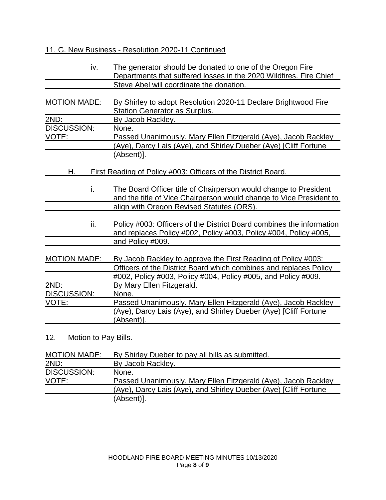## 11. G. New Business - Resolution 2020-11 Continued

| iv.                         | The generator should be donated to one of the Oregon Fire                                                                               |
|-----------------------------|-----------------------------------------------------------------------------------------------------------------------------------------|
|                             | Departments that suffered losses in the 2020 Wildfires. Fire Chief                                                                      |
|                             | Steve Abel will coordinate the donation.                                                                                                |
| <b>MOTION MADE:</b>         | By Shirley to adopt Resolution 2020-11 Declare Brightwood Fire<br>Station Generator as Surplus.                                         |
| 2ND:                        | By Jacob Rackley.                                                                                                                       |
| <b>DISCUSSION:</b>          | None.                                                                                                                                   |
| VOTE:                       | Passed Unanimously. Mary Ellen Fitzgerald (Aye), Jacob Rackley                                                                          |
|                             | (Aye), Darcy Lais (Aye), and Shirley Dueber (Aye) [Cliff Fortune                                                                        |
|                             | (Absent)].                                                                                                                              |
| Н.                          | First Reading of Policy #003: Officers of the District Board.                                                                           |
|                             | The Board Officer title of Chairperson would change to President<br>and the title of Vice Chairperson would change to Vice President to |
|                             | align with Oregon Revised Statutes (ORS).                                                                                               |
| ii.                         | Policy #003: Officers of the District Board combines the information                                                                    |
|                             | and replaces Policy #002, Policy #003, Policy #004, Policy #005,                                                                        |
|                             | and Policy #009.                                                                                                                        |
| <b>MOTION MADE:</b>         | By Jacob Rackley to approve the First Reading of Policy #003:                                                                           |
|                             | Officers of the District Board which combines and replaces Policy                                                                       |
|                             | #002, Policy #003, Policy #004, Policy #005, and Policy #009.                                                                           |
| 2ND:                        | By Mary Ellen Fitzgerald.                                                                                                               |
| <b>DISCUSSION:</b>          | None.                                                                                                                                   |
| VOTE:                       | Passed Unanimously. Mary Ellen Fitzgerald (Aye), Jacob Rackley                                                                          |
|                             | (Aye), Darcy Lais (Aye), and Shirley Dueber (Aye) [Cliff Fortune                                                                        |
|                             | (Absent)].                                                                                                                              |
| 12.<br>Motion to Pay Bills. |                                                                                                                                         |
|                             |                                                                                                                                         |
| <b>MOTION MADE:</b>         | By Shirley Dueber to pay all bills as submitted.                                                                                        |
| 2ND:                        | By Jacob Rackley.                                                                                                                       |
| <b>DISCUSSION:</b>          | None.                                                                                                                                   |
| VOTE:                       | Passed Unanimously. Mary Ellen Fitzgerald (Aye), Jacob Rackley                                                                          |
|                             | (Aye), Darcy Lais (Aye), and Shirley Dueber (Aye) [Cliff Fortune<br>(Absent)].                                                          |
|                             |                                                                                                                                         |